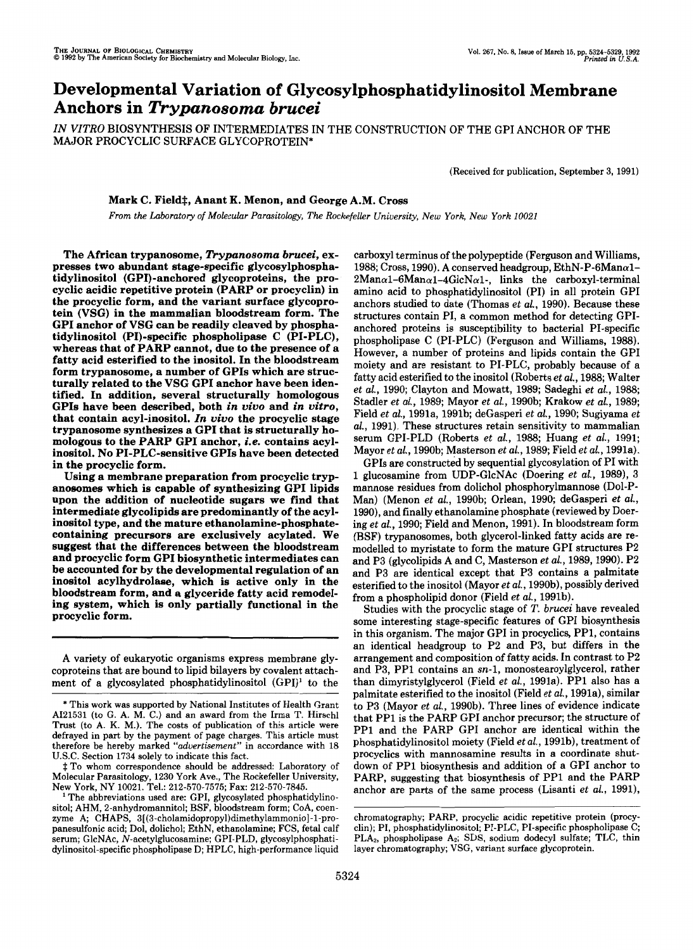# Developmental Variation **of** Glycosylphosphatidylinositol Membrane Anchors in *Trypanosoma brucei*

*IN VITRO* BIOSYNTHESIS OF INTERMEDIATES IN THE CONSTRUCTION OF THE GPI ANCHOR OF THE MAJOR PROCYCLIC SURFACE GLYCOPROTEIN\*

(Received for publication, September 3, 1991)

# Mark C. Field<sup>\*</sup>, Anant K. Menon, and George A.M. Cross

*From* the Laboratory of Molecular Parasitology, The Rockefeller University, New *York,* New *York 10021* 

The African trypanosome, *Trypanosoma brucei,* expresses two abundant stage-specific glycosylphosphatidylinositol (GP1)-anchored glycoproteins, the procyclic acidic repetitive protein (PARP or procyclin) in the procyclic form, and the variant surface glycoprotein (VSG) in the mammalian bloodstream form. The GPI anchor of VSG can be readily cleaved by phosphatidylinositol (PI)-specific phospholipase C (PI-PLC), whereas that of PARP cannot, due to the presence of a fatty acid esterified to the inositol. In the bloodstream form trypanosome, a number of GPIs which are structurally related to the VSG GPI anchor have been identified. In addition, several structurally homologous GPIs have been described, both *in vivo* and *in vitro,*  that contain acyl-inositol. *In vivo* the procyclic stage trypanosome synthesizes a GPI that **is** structurally homologous to the PARP GPI anchor, *i.e.* contains acylinositol. **No** PI-PLC-sensitive GPIs have been detected in the procyclic form.

Using a membrane preparation from procyclic trypanosomes which is capable of synthesizing GPI lipids upon the addition of nucleotide sugars we find that intermediate glycolipids are predominantly of the acylinositol type, and the mature ethanolamine-phosphatecontaining precursors are exclusively acylated. We suggest that the differences between the bloodstream and procyclic form GPI biosynthetic intermediates can be accounted for by the developmental regulation of an inositol acylhydrolase, which is active only in the bloodstream form, and a glyceride fatty acid remodeling system, which is only partially functional in the procyclic form.

A variety of eukaryotic organisms express membrane glycoproteins that are bound to lipid bilayers by covalent attachment of a glycosylated phosphatidylinositol (GPI)' to the

‡ To whom correspondence should be addressed: Laboratory of Molecular Parasitology, 1230 York Ave., The Rockefeller University, New York, NY 10021. Tel.: 212-570-7575; Fax: 212-570-7845.

The abbreviations used are: GPI, glycosylated phosphatidylinositol; AHM, 2-anhydromannitol; BSF, bloodstream form; CoA, coenzyme **A;** CHAPS, **3[(3-cholamidopropyl)dimethylammonio]-l-pro**panesulfonic acid; Dol, dolichol; EthN, ethanolamine; FCS, fetal calf serum; GlcNAc, N-acetylglucosamine; GPI-PLD, glycosylphosphatidylinositol-specific phospholipase D; HPLC, high-performance liquid

carboxyl terminus of the polypeptide (Ferguson and Williams, 1988; Cross, 1990). A conserved headgroup, EthN-P-6Man $\alpha$ 1- $2Man\alpha$ 1-6Man $\alpha$ 1-4GlcN $\alpha$ 1-, links the carboxyl-terminal amino acid to phosphatidylinositol (PI) in all protein GPI anchors studied to date (Thomas *et al.,* 1990). Because these structures contain PI, a common method for detecting GPIanchored proteins is susceptibility to bacterial PI-specific phospholipase C (PI-PLC) (Ferguson and Williams, 1988). However, a number of proteins and lipids contain the GPI moiety and are resistant to PI-PLC, probably because of a fatty acid esterified to the inositol (Roberts *et al.,* 1988; Walter *et al.,* 1990; Clayton and Mowatt, 1989; Sadeghi *et al.,* 1988; Stadler *et al.,* 1989; Mayor *et al.,* 1990b; Krakow *et al.,* 1989; Field *et al.,* 1991a, 1991b; deGasperi *et al.,* 1990; Sugiyama *et al.,* 1991). These structures retain sensitivity to mammalian serum GPI-PLD (Roberts *et al.,* 1988; Huang *et aL,* 1991; Mayor *et al.,* 1990b; Masterson *et al.,* 1989; Field *et al.,* 1991a).

GPIs are constructed by sequential glycosylation of PI with 1 glucosamine from UDP-GlcNAc (Doering *et al.,* 1989), 3 mannose residues from dolichol phosphorylmannose (Dol-P-Man) (Menon *et al.,* 1990b; Orlean, 1990; deGasperi *et al.,*  1990), and finally ethanolamine phosphate (reviewed by Doering *et al.,* 1990; Field and Menon, 1991). In bloodstream form (BSF) trypanosomes, both glycerol-linked fatty acids are remodelled to myristate to form the mature GPI structures P2 and P3 (glycolipids A and C, Masterson *et al.,* 1989, 1990). P2 and P3 are identical except that P3 contains a palmitate esterified to the inositol (Mayor *et al.,* 199Ob), possibly derived from a phospholipid donor (Field *et al.,* 1991b).

Studies with the procyclic stage of *T. brucei* have revealed some interesting stage-specific features of GPI biosynthesis in this organism. The major GPI in procyclics, PP1, contains an identical headgroup to P2 and P3, but differs in the arrangement and composition of fatty acids. In contrast to P2 and P3, PP1 contains an sn-1, monostearoylglycerol, rather than dimyristylglycerol (Field *et al.,* 1991a). PP1 also has a palmitate esterified to the inositol (Field *et al.,* 1991a), similar to P3 (Mayor *et al.,* 1990b). Three lines of evidence indicate that PP1 is the PARP GPI anchor precursor; the structure of PP1 and the PARP GPI anchor are identical within the phosphatidylinositol moiety (Field *et al.,* 1991b), treatment of procyclics with mannosamine results in a coordinate shutdown of PPI biosynthesis and addition of a GPI anchor to PARP, suggesting that biosynthesis of PP1 and the PARP anchor are parts of the same process (Lisanti *et al.,* 1991),

<sup>\*</sup> This work was supported by National Institutes of Health Grant A121531 (to G. A. M. C.) and an award from the Irma T. Hirschl Trust (to A. K. M.). The costs of publication of this article were defrayed in part by the payment of page charges. This article must therefore be hereby marked "advertisement" in accordance with **18**  U.S.C. Section 1734 solely to indicate this fact.

clin); PI, phosphatidylinositol; PI-PLC, PI-specific phospholipase C; chromatography; PARP, procyclic acidic repetitive protein (procy-PLA<sub>2</sub>, phospholipase A<sub>2</sub>; SDS, sodium dodecyl sulfate; TLC, thin layer chromatography; VSG, variant surface glycoprotein.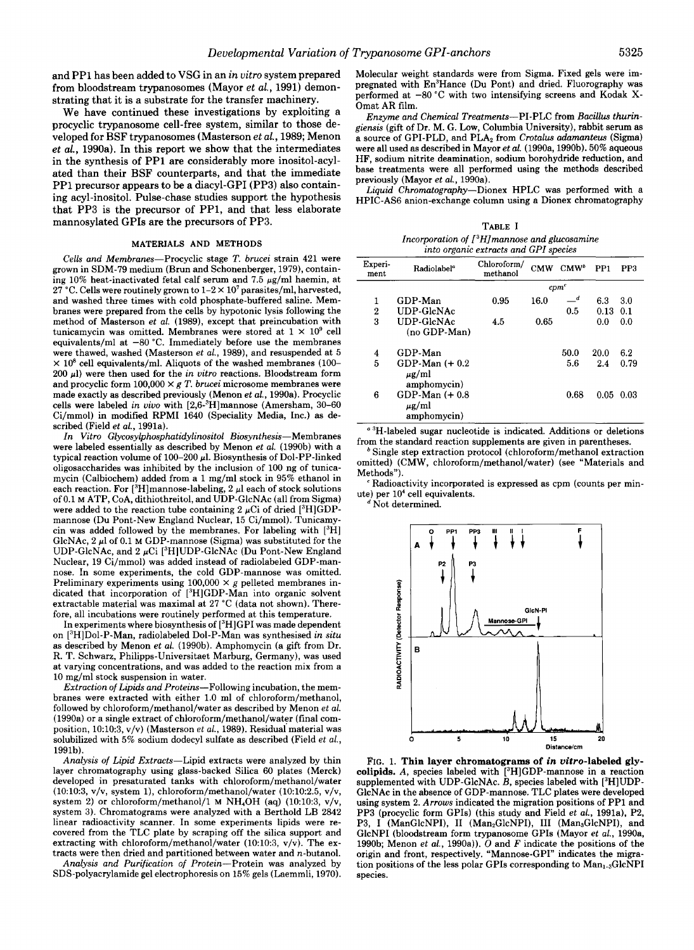and PPI has been added to VSG in an *in vitro* system prepared from bloodstream trypanosomes (Mayor *et al.,* 1991) demonstrating that it is a substrate for the transfer machinery.

We have continued these investigations by exploiting a procyclic trypanosome cell-free system, similar to those developed for **BSF** trypanosomes (Masterson *et al.,* 1989; Menon *et al.,* 1990a). In this report we show that the intermediates in the synthesis of PP1 are considerably more inositol-acylated than their BSF counterparts, and that the immediate PPI precursor appears to be a diacyl-GPI (PP3) also containing acyl-inositol. Pulse-chase studies support the hypothesis that PP3 is the precursor of PP1, and that less elaborate mannosylated GPIs are the precursors of PP3.

#### **MATERIALS AND METHODS**

Cells and Membranes-Procyclic stage T. brucei strain 421 were grown in SDM-79 medium (Brun and Schonenberger, 1979), containing 10% heat-inactivated fetal calf serum and 7.5  $\mu$ g/ml haemin, at °C. Cells were routinely grown to  $1-2 \times 10^7$  parasites/ml, harvested, and washed three times with cold phosphate-buffered saline. Membranes were prepared from the cells by hypotonic lysis following the method of Masterson et al. (1989), except that preincubation with tunicamycin was omitted. Membranes were stored at  $1 \times 10^9$  cell equivalents/ml at  $-80$  °C. Immediately before use the membranes were thawed, washed (Masterson et al., 1989), and resuspended at 5  $\times$  10<sup>8</sup> cell equivalents/ml. Aliquots of the washed membranes (100- $200 \mu$ l) were then used for the in vitro reactions. Bloodstream form and procyclic form  $100,000 \times g$  *T. brucei* microsome membranes were made exactly as described previously (Menon *et* al., 1990a). Procyclic cells were labeled in vivo with  $[2,6^{-3}H]$ mannose (Amersham, 30–60 Ci/mmol) in modified RPMI 1640 (Speciality Media, Inc.) as described (Field et al., 1991a).

In Vitro Glycosylphosphatidylinositol Biosynthesis-Membranes were labeled essentially as described by Menon et al. (1990b) with a typical reaction volume of 100-200  $\mu$ l. Biosynthesis of Dol-PP-linked oligosaccharides was inhibited by the inclusion of 100 ng of tunicamycin (Calbiochem) added from a 1 mg/ml stock in 95% ethanol in each reaction. For  $[{}^3H]$ mannose-labeling, 2  $\mu$ l each of stock solutions of 0.1 **M** ATP, CoA, dithiothreitol, and UDP-GlcNAc (all from Sigma) were added to the reaction tube containing 2  $\mu$ Ci of dried [3H]GDPmannose (Du Pont-New England Nuclear, 15 Ci/mmol). Tunicamycin was added followed by the membranes. For labeling with  $[{}^{3}H]$ GlcNAc, 2  $\mu$ l of 0.1 M GDP-mannose (Sigma) was substituted for the UDP-GlcNAc, and 2  $\mu$ Ci [<sup>3</sup>H]UDP-GlcNAc (Du Pont-New England Nuclear, 19 Ci/mmol) was added instead of radiolabeled GDP-mannose. In some experiments, the cold GDP-mannose was omitted. Preliminary experiments using  $100,000 \times g$  pelleted membranes indicated that incorporation of [3H]GDP-Man into organic solvent extractable material was maximal at 27 "C (data not shown). Therefore, all incubations were routinely performed at this temperature.

In experiments where biosynthesis of [3H]GPI was made dependent on [3H]Dol-P-Man, radiolabeled Dol-P-Man was synthesised in situ as described by Menon et al. (1990b). Amphomycin (a **gift** from Dr. R. **T.** Schwarz, Philipps-Universitaet Marburg, Germany), was used at varying concentrations, and was added to the reaction mix from a 10 mg/ml stock suspension in water.

Extraction *of* Lipids and Proteins-Following incubation, the membranes were extracted with either 1.0 ml of chloroform/methanol, followed by **chloroform/methanol/water** as described by Menon et *al.*  (1990a) or a single extract of **chloroform/methanol/water** (final composition, 10:10:3, v/v) (Masterson et al., 1989). Residual material was solubilized with 5% sodium dodecyl sulfate as described (Field et al., 1991b).

Analysis *of* Lipid Extracts-Lipid extracts were analyzed by thin layer chromatography using glass-backed Silica 60 plates (Merck) developed in presaturated tanks with chloroform/methanol/water (10:10:3, v/v, system 1), chloroform/methanol/water (10:10:2.5, v/v, system 2) or chloroform/methanol/1  $M$  NH<sub>4</sub>OH (aq) (10:10:3, v/v, system 3). Chromatograms were analyzed with a Berthold LB 2842 linear radioactivity scanner. In some experiments lipids were recovered from the TLC plate by scraping off the silica support and extracting with **chloroform/methanol/water** (10:10:3, v/v). The extracts were then dried and partitioned between water and n-butanol.

Analysis and Purification of Protein-Protein was analyzed by SDS-polyacrylamide gel electrophoresis on 15% gels (Laemmli, 1970). Molecular weight standards were from Sigma. Fixed gels were impregnated with En<sup>3</sup>Hance (Du Pont) and dried. Fluorography was performed at -80 °C with two intensifying screens and Kodak X-Omat AR film.

Enzyme and Chemical Treatments-PI-PLC from Bacillus thurin-<br>giensis (gift of Dr. M. G. Low. Columbia University), rabbit serum as a source of GPI-PLD, and PLA<sub>2</sub> from Crotalus adamanteus (Sigma) were all used as described in Mayor et al. (1990a, 199Ob). 50% aqueous HF, sodium nitrite deamination, sodium borohydride reduction, and base treatments were all performed using the methods described previously (Mayor et al., 1990a).

Liquid Chromatography-Dionex HPLC was performed with a HPIC-AS6 anion-exchange column using a Dionex chromatography

**TABLE** I Incorporation *of* [3H]manmse and glucosamine into organic extracts and GPI species

| Experi-<br>ment  | Radiolabel <sup>®</sup>                        | Chloroform/<br>methanol |      | CMW CMW <sup>®</sup> | PP1         | PP <sub>3</sub> |
|------------------|------------------------------------------------|-------------------------|------|----------------------|-------------|-----------------|
|                  |                                                |                         |      | cpm <sup>c</sup>     |             |                 |
| 1                | GDP-Man                                        | 0.95                    | 16.0 | $-d$                 | 6.3         | 3.0             |
| $\boldsymbol{2}$ | UDP-GlcNAc                                     |                         |      | 0.5                  | $0.13$ 0.1  |                 |
| 3                | UDP-GlcNAc<br>(no GDP-Man)                     | 4.5                     | 0.65 |                      | 0.0         | 0.0             |
| 4                | GDP-Man                                        |                         |      | 50.0                 | <b>20.0</b> | 6.2             |
| 5                | GDP-Man $(+ 0.2)$<br>$\mu$ g/ml<br>amphomycin) |                         |      | 5.6                  | 2.4         | 0.79            |
| 6                | GDP-Man $(+ 0.8)$<br>$\mu$ g/ml<br>amphomycin) |                         |      | 0.68                 |             | $0.05$ 0.03     |

<sup>a 3</sup>H-labeled sugar nucleotide is indicated. Additions or deletions from the standard reaction supplements are given in parentheses.

\* Single step extraction protocol (chloroform/methanol extraction omitted) (CMW, **chloroform/methanol/water)** (see "Materials and Methods").

Radioactivity incorporated is expressed as cpm (counts per minute) per  $10<sup>4</sup>$  cell equivalents.

<sup>d</sup> Not determined.



FIG. 1. **Thin layer chromatograms of in vitro-labeled glycolipids.** A, species labeled with [3H]GDP-mannose in a reaction supplemented with UDP-GlcNAc.  $B$ , species labeled with  $[{}^{3}H]$ UDP-GlcNAc in the absence of GDP-mannose. TLC plates were developed using system 2. *Arrows* indicated the migration positions of PP1 and PP3 (procyclic form GPIs) (this study and Field et al., 1991a), P2, P3, I (ManGlcNPI), II (Man<sub>2</sub>GlcNPI), III (Man<sub>3</sub>GlcNPI), and GlcNPI (bloodstream form trypanosome GPIs (Mayor *et* al., 1990a, 1990b; Menon et al., 1990a)). 0 and *F* indicate the positions of the origin and front, respectively. "Mannose-GPI" indicates the migration positions of the less polar GPIs corresponding to Man<sub>1-3</sub>GlcNPI species.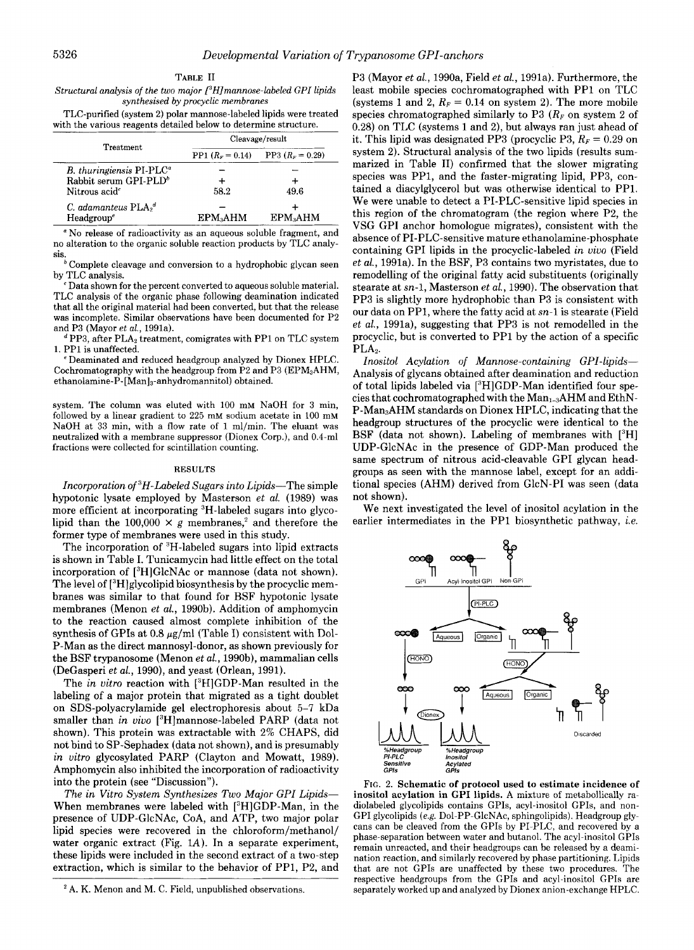| TABLE II                                                                    |
|-----------------------------------------------------------------------------|
| Structural analysis of the two major $\int^3 H/m$ annose-labeled GPI lipids |
| synthesised by procyclic membranes                                          |

TLC-purified (system 2) polar mannose-labeled lipids were treated with the various reagents detailed below to determine structure.

| <b>Treatment</b>                                     | Cleavage/result      |                      |  |  |
|------------------------------------------------------|----------------------|----------------------|--|--|
|                                                      | PP1 $(R_F = 0.14)$   | PP3 $(R_F = 0.29)$   |  |  |
| $B$ , thuringiensis PI-PLC <sup><math>a</math></sup> |                      |                      |  |  |
| Rabbit serum GPI-PLD <sup>b</sup>                    |                      |                      |  |  |
| Nitrous acid <sup>c</sup>                            | 58.2                 | 49.6                 |  |  |
| C. adamanteus $\text{PLA}_2^d$                       |                      |                      |  |  |
| Headgroup <sup>e</sup>                               | EPM <sub>3</sub> AHM | EPM <sub>3</sub> AHM |  |  |

No release of radioactivity as an aqueous soluble fragment, and no alteration to the organic soluble reaction products by TLC analysis.

 $\overrightarrow{b}$  Complete cleavage and conversion to a hydrophobic glycan seen by TLC analysis.

Data shown for the percent converted to aqueous soluble material. TLC analysis of the organic phase following deamination indicated that all the original material had been converted, but that the release was incomplete. Similar observations have been documented for P2 and P3 (Mayor et al., 1991a).

 $P^d$  PP3, after PLA<sub>2</sub> treatment, comigrates with PP1 on TLC system 1. PPI is unaffected.

<sup>2</sup> Deaminated and reduced headgroup analyzed by Dionex HPLC. Cochromatography with the headgroup from P2 and P3 ( $EPM<sub>3</sub>AHM$ , **ethanolamine-P-[Man]3-anbydromannitol)** obtained.

system. The column was eluted with 100 mM NaOH for 3 min. followed by a linear gradient to 225 mM sodium acetate in 100 mM NaOH at **33** min, with a flow rate of 1 ml/min. The eluant was neutralized with a membrane suppressor (Dionex Corp.), and 0.4-ml fractions were collected for scintillation counting.

## **RESULTS**

Incorporation of <sup>3</sup>H-Labeled Sugars into Lipids-The simple hypotonic lysate employed by Masterson et al. (1989) was more efficient at incorporating 3H-labeled sugars into glycolipid than the 100,000  $\times$  g membranes,<sup>2</sup> and therefore the former type of membranes were used in this study.

The incorporation of <sup>3</sup>H-labeled sugars into lipid extracts is shown in Table I. Tunicamycin had little effect on the total incorporation of [3H]GlcNAc or mannose (data not shown). The level of  $[^{3}H]$ glycolipid biosynthesis by the procyclic membranes was similar to that found for BSF hypotonic lysate membranes (Menon et al., 1990b). Addition of amphomycin to the reaction caused almost complete inhibition of the synthesis of GPIs at 0.8  $\mu$ g/ml (Table I) consistent with Dol-P-Man as the direct mannosyl-donor, as shown previously for the BSF trypanosome (Menon et *al.,* 1990b), mammalian cells (DeGasperi et al., 1990), and yeast (Orlean, 1991).

The in vitro reaction with  $[3H]GDP$ -Man resulted in the labeling of a major protein that migrated as a tight doublet on SDS-polyacrylamide gel electrophoresis about 5-7 kDa smaller than in vivo [3H]mannose-labeled PARP (data not shown). This protein was extractable with 2% CHAPS, did not bind to SP-Sephadex (data not shown), and is presumably in vitro glycosylated PARP (Clayton and Mowatt, 1989). Amphomycin also inhibited the incorporation of radioactivity into the protein (see "Discussion").

The in Vitro System Synthesizes Two Major *GPI* Lipids-When membranes were labeled with [3H]GDP-Man, in the presence of UDP-GlcNAc, CoA, and ATP, two major polar lipid species were recovered in the chloroform/methanol/ water organic extract (Fig.  $1A$ ). In a separate experiment, these lipids were included in the second extract of a two-step extraction, which is similar to the behavior of PP1, P2, and

P3 (Mayor *et al.,* 1990a, Field et al., 1991a). Furthermore, the least mobile species cochromatographed with PPI on TLC (systems 1 and 2,  $R_F = 0.14$  on system 2). The more mobile species chromatographed similarly to P3  $(R_F \text{ on system 2 of})$ 0.28) on TLC (systems 1 and 2), but always ran just ahead of it. This lipid was designated PP3 (procyclic P3,  $R_F = 0.29$  on system 2). Structural analysis of the two lipids (results summarized in Table 11) confirmed that the slower migrating species was PP1, and the faster-migrating lipid, PP3, contained a diacylglycerol but was otherwise identical to PPI. We were unable to detect a PI-PLC-sensitive lipid species in this region of the chromatogram (the region where P2, the VSG GPI anchor homologue migrates), consistent with the absence of PI-PLC-sensitive mature ethanolamine-phosphate containing GPI lipids in the procyclic-labeled in *vivo* (Field et al., 1991a). In the BSF, P3 contains two myristates, due to remodelling of the original fatty acid substituents (originally stearate at sn-1, Masterson et al., 1990). The observation that PP3 is slightly more hydrophobic than P3 is consistent with our data on PP1, where the fatty acid at sn-1 is stearate (Field et al., 1991a), suggesting that PP3 is not remodelled in the procyclic, but is converted to PP1 by the action of a specific PLA<sub>2</sub>.

Inositol Acylation *of* Mannose-containing GPI-lipids-Analysis of glycans obtained after deamination and reduction of total lipids labeled via ['HIGDP-Man identified four species that cochromatographed with the Man<sub>1-3</sub>AHM and EthN-P-Man3AHM standards on Dionex HPLC, indicating that the headgroup structures of the procyclic were identical to the BSF (data not shown). Labeling of membranes with  $[{}^{3}H]$ UDP-GlcNAc in the presence of GDP-Man produced the same spectrum of nitrous acid-cleavable GPI glycan headgroups as seen with the mannose label, except for an additional species (AHM) derived from GlcN-PI was seen (data not shown).

We next investigated the level of inositol acylation in the earlier intermediates in the PP1 biosynthetic pathway, *i.e.* 



**FIG.** 2. **Schematic of protocol used to estimate incidence of inositol acylation in GPI lipids.** A mixture of metabollically radiolabeled glycolipids contains GPIs, acyl-inositol GPIs, and non-GPI glycolipids (e.g. Dol-PP-GlcNAc, sphingolipids). Headgroup glycans can be cleaved from the GPIs by PI-PLC, and recovered by a phase-separation between water and butanol. The acyl-inositol GPIs remain unreacted, and their headgroups can be released by a deamination reaction, and similarly recovered by phase partitioning. Lipids that are not GPIs are unaffected by these two procedures. The respective headgroups from the GPIs and acyl-inositol GPIs are separately worked up and analyzed by Dionex anion-exchange HPLC.

 $2A$ . K. Menon and M. C. Field, unpublished observations.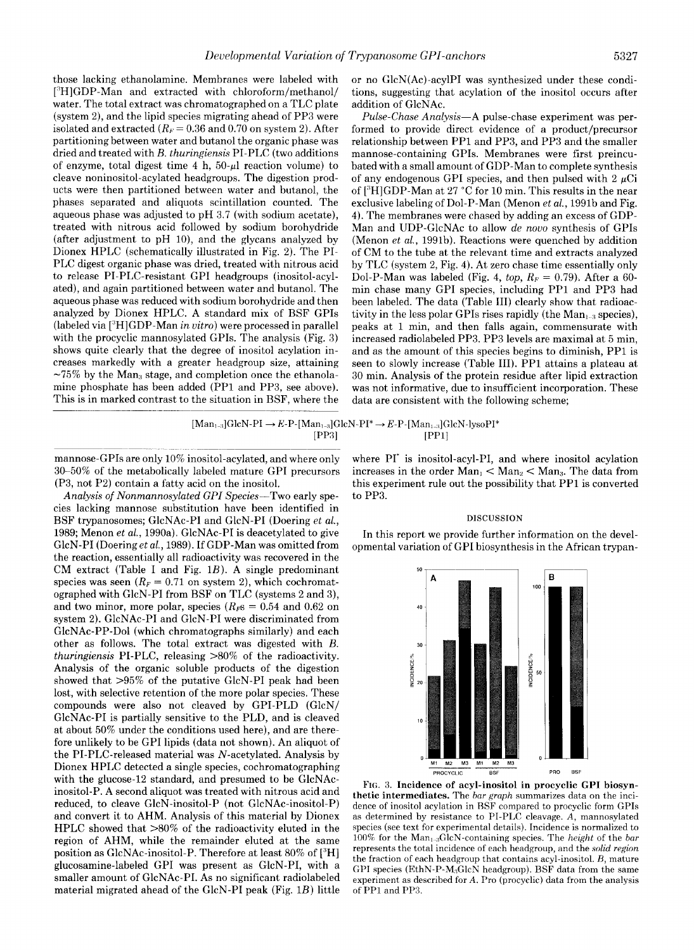those lacking ethanolamine. Membranes were labeled with ["HIGDP-Man and extracted with chloroform/methanol/ water. The total extract was chromatographed on a TLC plate (system 2), and the lipid species migrating ahead of PP3 were isolated and extracted  $(R_F = 0.36$  and 0.70 on system 2). After partitioning between water and butanol the organic phase was dried and treated with *B.* thuringiensis PI-PLC (two additions of enzyme, total digest time  $4 h$ ,  $50-\mu l$  reaction volume) to cleave noninositol-acylated headgroups. The digestion products were then partitioned between water and butanol, the phases separated and aliquots scintillation counted. The aqueous phase was adjusted to pH 3.7 (with sodium acetate), treated with nitrous acid followed by sodium borohydride (after adjustment to pH  $10$ ), and the glycans analyzed by Dionex HPLC (schematically illustrated in Fig. 2). The PI-PLC digest organic phase was dried, treated with nitrous acid to release PI-PLC-resistant GPI headgroups (inositol-acylated), and again partitioned between water and butanol. The aqueous phase was reduced with sodium borohydride and then analyzed by Dionex HPLC. A standard mix of BSF GPIs (labeled via ["HIGDP-Man in uitro) were processed in parallel with the procyclic mannosylated GPIs. The analysis (Fig. 3) shows quite clearly that the degree of inositol acylation increases markedly with a greater headgroup size, attaining  $\sim$ 75% by the Man<sub>3</sub> stage, and completion once the ethanolamine phosphate has been added (PPl and PP3, see above).

or no GlcN(Ac)-acylPI was synthesized under these conditions, suggesting that acylation of the inositol occurs after addition of GlcNAc.

Pulse-Chase Analysis-A pulse-chase experiment was performed to provide direct evidence of a product/precursor relationship between PP1 and PP3, and PP3 and the smaller mannose-containing GPIs. Membranes were first preincubated with a small amount of GDP-Man to complete synthesis of any endogenous GPI species, and then pulsed with  $2 \mu$ Ci of ["HIGDP-Man at 27 "C for 10 min. This results in the near exclusive labeling of Dol-P-Man (Menon  $et al.$ , 1991b and Fig. 4). The membranes were chased by adding an excess of GDP-Man and UDP-GlcNAc to allow *de novo* synthesis of GPIs (Menon et al., 1991b). Reactions were quenched by addition of CM to the tube at the relevant time and extracts analyzed by TLC (system 2, Fig. 4). At zero chase time essentially only Dol-P-Man was labeled (Fig. 4, *top*,  $R_F = 0.79$ ). After a 60min chase many GPI species, including PP1 and PP3 had been labeled. The data (Table 111) clearly show that radioactivity in the less polar GPIs rises rapidly (the Man<sub>ta</sub> species), peaks at 1 min, and then falls again, commensurate with increased radiolabeled PP3. PP3 levels are maximal at 5 min, and as the amount of this species begins to diminish, PP1 is seen to slowly increase (Table 111). PPI attains a plateau at 30 min. Analysis of the protein residue after lipid extraction was not informative, due to insufficient incorporation. These data are consistent with the following scheme;

$$
[Man_{1-3}]GlcN-PI \rightarrow E-P-[Man_{1-3}]GlcN-PI^* \rightarrow E-P-[Man_{1-3}]GlcN-lysoPI^*
$$
  
[PP3] [PPI]

mannose-GPIs are only 10% inositol-acylated, and where only 30-5072 of the metabolically labeled mature GPI precursors (P3, not P2) contain a fatty acid on the inositol.

. ~~ ~ ~~~~~~~~~ ~~~~

This is in marked contrast to the situation in BSF, where the

Analysis *of* Nonmannosylated *GPI* Species-Two early species lacking mannose substitution have been identified in BSF trypanosomes; GlcNAc-PI and GlcN-PI (Doering et al., 1989; Menon *et* al., 1990a). GlcNAc-PI is deacetylated to give GlcN-PI (Doeringet al., 1989). If GDP-Man was omitted from the reaction, essentially all radioactivity was recovered in the CM extract (Table I and Fig.  $1B$ ). A single predominant species was seen  $(R_F = 0.71$  on system 2), which cochromatographed with GlcN-PI from BSF on TLC (systems 2 and 3), and two minor, more polar, species  $(R_F s = 0.54$  and 0.62 on system 2). GlcNAc-PI and GlcN-PI were discriminated from GlcNAc-PP-Dol (which chromatographs similarly) and each other as follows. The total extract was digested with *B.*  thuringiensis PI-PLC, releasing >80% of the radioactivity. Analysis of the organic soluble products of the digestion showed that >95% of the putative GlcN-PI peak had been lost, with selective retention of the more polar species. These compounds were also not cleaved by GPI-PLD (GlcN/ GlcNAc-PI is partially sensitive to the PLD, and is cleaved at about 50% under the conditions used here), and are therefore unlikely to be GPI lipids (data not shown). An aliquot of the PI-PLC-released material was N-acetylated. Analysis by Dionex HPLC detected a single species, cochromatographing with the glucose-12 standard, and presumed to be GlcNAcinositol-P. A second aliquot was treated with nitrous acid and reduced, to cleave GlcN-inositol-P (not GlcNAc-inositol-P) and convert it to AHM. Analysis of this material by Dionex HPLC showed that >80% of the radioactivity eluted in the region of AHM, while the remainder eluted at the same position as GlcNAc-inositol-P. Therefore at least 80% of ["HI glucosamine-labeled GPI was present as GlcN-PI, with a smaller amount of GlcNAc-PI. As no significant radiolabeled material migrated ahead of the GlcN-PI peak (Fig. 1B) little where PI<sup>\*</sup> is inositol-acyl-PI, and where inositol acylation increases in the order  $Man_1 < Man_2 < Man_3$ . The data from this experiment rule out the possibility that PPI is converted to PP3.

## **DISCUSSION**

In this report we provide further information on the developmental variation of GPI biosynthesis in the African trypan-



**FIG. 3. Incidence of acyl-inositol in procyclic GPI biosynthetic intermediates.** The *bar graph* summarizes data on the incidence of inositol acylation in RSF compared to procyclic form GPIs as determined by resistance to PI-PLC cleavage. *A,* mannosylated species (see text for experimental details). Incidence is normalized to 100% for the Man<sub>1-3</sub>GlcN-containing species. The *height* of the *bar* represents the total incidence of each headgroup, and the *solid region*  the fraction of each headgroup that contains acyl-inositol. *R,* mature GPI species (EthN-P-M<sub>3</sub>GlcN headgroup). BSF data from the same experiment as described for *A.* Pro (procyclic) data from the analysis of PP<sub>1</sub> and PP<sub>3</sub>.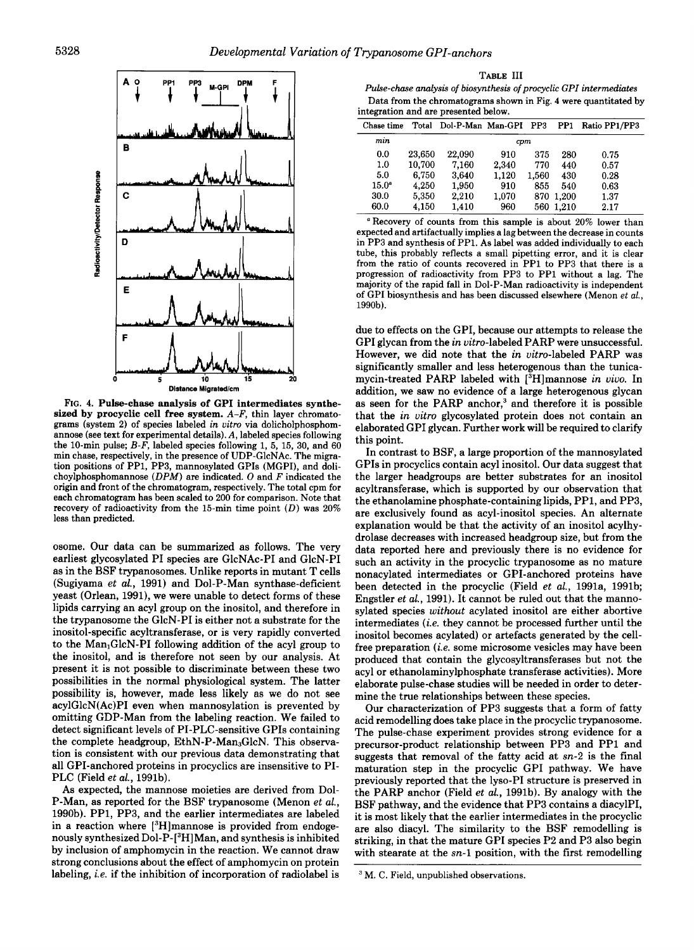

**FIG. 4.** Pulse-chase analysis **of** GPI intermediates synthesized **by** procyclic cell free system. *A-F,* **thin layer chromatograms (system 2) of species labeled in uitro via dolicholphosphomannose (see text for experimental details).** *A,* **labeled species following the 10-min pulse;** *B-F,* **labeled species following 1, 5, 15, 30, and 60 min chase, respectively, in the presence of UDP-GlcNAc. The migration positions of PP1, PP3, mannosylated GPIs (MGPI), and dolichoylphosphomannose** *(DPM)* **are indicated.** *0* **and** *F* **indicated the origin and front of the chromatogram, respectively. The total cpm for each chromatogram has been scaled to 200 for comparison. Note that recovery of radioactivity from the 15-min time point** *(D)* **was 20% less than predicted.** 

osome. Our data can be summarized as follows. The very earliest glycosylated PI species are GlcNAc-PI and GlcN-PI as in the BSF trypanosomes. Unlike reports in mutant T cells (Sugiyama et *al.,* 1991) and Dol-P-Man synthase-deficient yeast (Orlean, 1991), we were unable to detect forms of these lipids carrying an acyl group on the inositol, and therefore in the trypanosome the GlcN-PI is either not a substrate for the inositol-specific acyltransferase, or is very rapidly converted to the  $Man_1GlcN-PI$  following addition of the acyl group to the inositol, and is therefore not seen by our analysis. At present it is not possible to discriminate between these two possibilities in the normal physiological system. The latter possibility is, however, made less likely as we do not see acylGlcN(Ac)PI even when mannosylation is prevented by omitting GDP-Man from the labeling reaction. We failed to detect significant levels of PI-PLC-sensitive GPIs containing the complete headgroup,  $EthN-P-Man<sub>3</sub>GlcN$ . This observation is consistent with our previous data demonstrating that all GPI-anchored proteins in procyclics are insensitive to PI-PLC (Field et *al.,* 1991b).

As expected, the mannose moieties are derived from Dol-P-Man, as reported for the BSF trypanosome (Menon et *al.,*  1990b). PP1, PP3, and the earlier intermediates are labeled in a reaction where  $[{}^{3}H]$ mannose is provided from endogenously synthesized Dol-P-[<sup>3</sup>H]Man, and synthesis is inhibited by inclusion of amphomycin in the reaction. We cannot draw strong conclusions about the effect of amphomycin on protein labeling, *i.e.* if the inhibition of incorporation of radiolabel is

**TABLE 111 Pulse-chase** *analysis of* **biosynthesis** *of* **procyclic** *GPI* **intermediates Data from the chromatograms shown in Fig. 4 were quantitated by integration and are presented below.** 

| Chase time        |        | Total Dol-P-Man Man-GPI PP3 |       |       | PP1   | Ratio PP1/PP3 |  |  |  |  |
|-------------------|--------|-----------------------------|-------|-------|-------|---------------|--|--|--|--|
| min               | cpm    |                             |       |       |       |               |  |  |  |  |
| 0.0               | 23.650 | 22,090                      | 910   | 375   | 280   | 0.75          |  |  |  |  |
| 1.0               | 10.700 | 7,160                       | 2.340 | 770   | 440   | 0.57          |  |  |  |  |
| 5.0               | 6.750  | 3.640                       | 1.120 | 1.560 | 430   | 0.28          |  |  |  |  |
| 15.0 <sup>a</sup> | 4.250  | 1.950                       | 910   | 855   | 540   | 0.63          |  |  |  |  |
| 30.0              | 5,350  | 2.210                       | 1.070 | 870   | 1.200 | 1.37          |  |  |  |  |
| 60.0              | 4.150  | 1,410                       | 960   | 560   | 1.210 | 2.17          |  |  |  |  |

**'Recovery of counts from this sample is about 20% lower than expected and artifactually implies a lag between the decrease in counts in PP3 and synthesis of PP1. As label was added individually to each tube, this probably reflects a small pipetting error, and it is clear from the ratio of counts recovered in PP1 to PP3 that there is a progression of radioactivity from PP3 to PP1 without a lag. The majority of the rapid fall in Dol-P-Man radioactivity is independent of GPI biosynthesis and has been discussed elsewhere (Menon et** *al.,*  **1990b).** 

due to effects on the GPI, because our attempts to release the GPI glycan from the in uitro-labeled PARP were unsuccessful. However, we did note that the in uitro-labeled PARP was significantly smaller and less heterogenous than the tunicamycin-treated PARP labeled with [3H]mannose in *uiuo.* In addition, we saw no evidence of a large heterogenous glycan as seen for the PARP anchor, $3$  and therefore it is possible that the in uitro glycosylated protein does not contain an elaborated GPI glycan. Further work will be required to clarify this point.

In contrast to BSF, a large proportion of the mannosylated GPIs in procyclics contain acyl inositol. Our data suggest that the larger headgroups are better substrates for an inositol acyltransferase, which is supported by our observation that the ethanolamine phosphate-containing lipids, PP1, and PP3, are exclusively found as acyl-inositol species. An alternate explanation would be that the activity of an inositol acylhydrolase decreases with increased headgroup size, but from the data reported here and previously there is no evidence for such an activity in the procyclic trypanosome as no mature nonacylated intermediates or GPI-anchored proteins have been detected in the procyclic (Field et *al.,* 1991a, 1991b; Engstler et *al.,* 1991). It cannot be ruled out that the mannosylated species without acylated inositol are either abortive intermediates (i.e. they cannot be processed further until the inositol becomes acylated) or artefacts generated by the cellfree preparation (i.e. some microsome vesicles may have been produced that contain the glycosyltransferases but not the acyl or ethanolaminylphosphate transferase activities). More elaborate pulse-chase studies will be needed in order to determine the true relationships between these species.

Our characterization of PP3 suggests that a form of fatty acid remodelling does take place in the procyclic trypanosome. The pulse-chase experiment provides strong evidence for a precursor-product relationship between PP3 and PP1 and suggests that removal of the fatty acid at sn-2 **is** the final maturation step in the procyclic GPI pathway. We have previously reported that the lyso-PI structure is preserved in the PARP anchor (Field et *aL,* 1991b). By analogy with the BSF pathway, and the evidence that PP3 contains a diacylPI, it is most likely that the earlier intermediates in the procyclic are also diacyl. The similarity to the BSF remodelling is striking, in that the mature GPI species P2 and P3 also begin with stearate at the  $sn-1$  position, with the first remodelling

**M. C. Field, unpublished observations.**